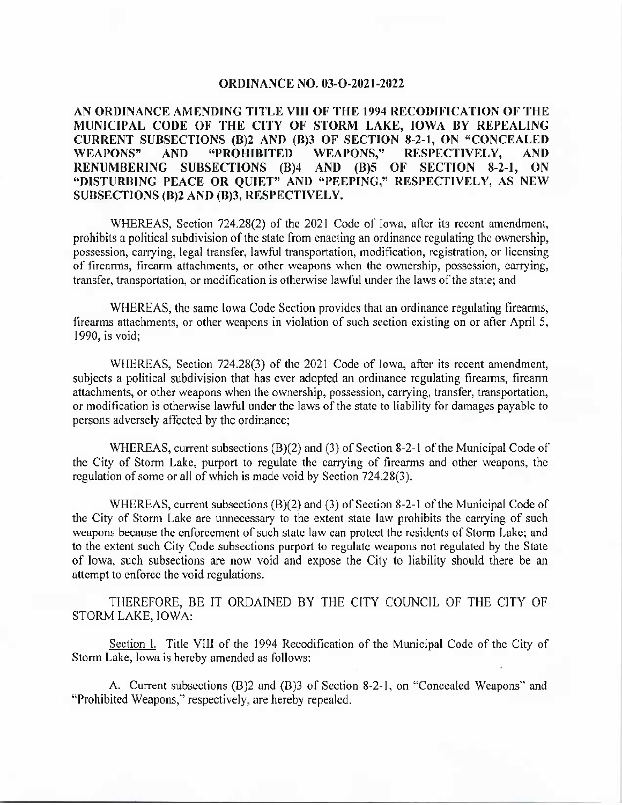## ORDINANCE NO. 03-O-2021-2022

AN ORDINANCE AMENDING TITLE VIII OF THE 1994 RECODIFICATION OF THE MUNICIPAL CODE OF THE CITY OF STORM LAKE, IOWA BY REPEALING CURRENT SUBSECTIONS (B)2 AND (B)3 OF SECTION 8-2-1, ON "CONCEALED WEAPONS" AND "PROHIBITED WEAPONS," RESPECTIVELY, AND RENUMBERING SUBSECTIONS (B)4 AND (B)5 OF SECTION 8-2-1, ON "DISTURBING PEACE OR QUIET" AND "PEEPING," RESPECTIVELY, AS NEW SUBSECTIONS (B)2 AND (B)3, RESPECTIVELY.

WHEREAS, Section 724.28(2) of the 2021 Code of Iowa, after its recent amendment, prohibits a political subdivision of the state from enacting an ordinance regulating the ownership, possession, carrying, legal transfer, lawful transportation, modification, registration, or licensing of firearms, firearm attachments, or other weapons when the ownership, possession, carrying, transfer, transportation, or modification is otherwise lawful under the laws of the state; and

WHEREAS, the same Iowa Code Section provides that an ordinance regulating firearms, firearms attachments, or other weapons in violation of such section existing on or after April 5, 1990, is void;

WHEREAS, Section 724.28(3) of the 2021 Code of Iowa, after its recent amendment, subjects a political subdivision that has ever adopted an ordinance regulating firearms, firearm attachments, or other weapons when the ownership, possession, carrying, transfer, transportation, or modification is otherwise lawful under the laws of the state to liability for damages payable to persons adversely affected by the ordinance;

WHEREAS, current subsections  $(B)(2)$  and  $(3)$  of Section 8-2-1 of the Municipal Code of the City of Storm Lake, purport to regulate the carrying of firearms and other weapons, the regulation of some or all of which is made void by Section 724.28(3).

WHEREAS, current subsections  $(B)(2)$  and  $(3)$  of Section 8-2-1 of the Municipal Code of the City of Storm Lake are unnecessary to the extent state law prohibits the carrying of such weapons because the enforcement of such state law can protect the residents of Storm Lake; and to the extent such City Code subsections purport to regulate weapons not regulated by the State of Iowa, such subsections are now void and expose the City to liability should there be an attempt to enforce the void regulations.

THEREFORE, BE IT ORDAINED BY THE CITY COUNCIL OF THE CITY OF STORM LAKE, IOWA:

Section 1. Title VIII of the 1994 Recodification of the Municipal Code of the City of Storm Lake, Iowa is hereby amended as follows:

A. Current subsections (B)2 and (B)3 of Section 8-2-1, on "Concealed Weapons" and Prohibited Weapons," respectively, are hereby repealed.